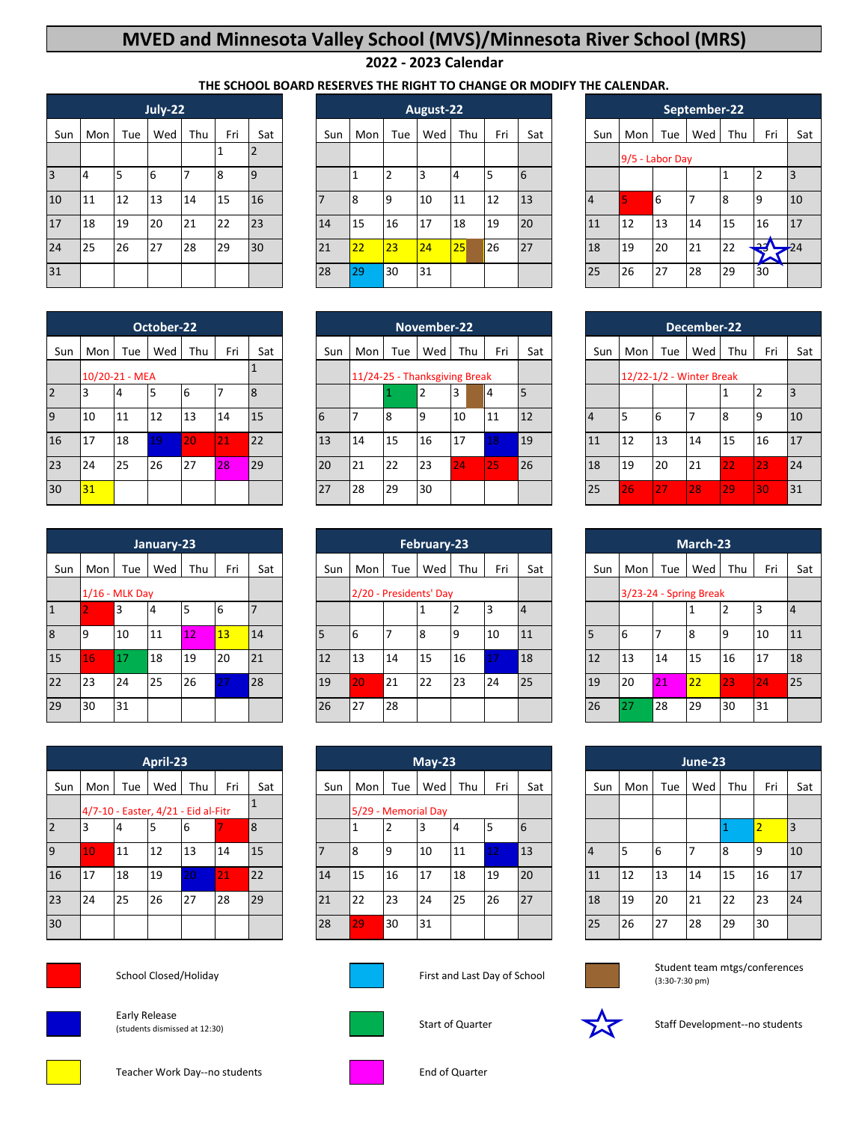## **MVED and Minnesota Valley School (MVS)/Minnesota River School (MRS)**

## **2022 - 2023 Calendar**

## **THE SCHOOL BOARD RESERVES THE RIGHT TO CHANGE OR MODIFY THE CALENDAR.**

| Mon | Tue | Wed      | Thu       | Fri                 | Sat            |    | Sun | Mon | Tue | Wed | Thu | Fri       | Sat         | Sun | Mon                              | Tue |                 | Thu             | Fri                 |                  |
|-----|-----|----------|-----------|---------------------|----------------|----|-----|-----|-----|-----|-----|-----------|-------------|-----|----------------------------------|-----|-----------------|-----------------|---------------------|------------------|
|     |     |          |           |                     | 12             |    |     |     |     |     |     |           |             |     |                                  |     |                 |                 |                     |                  |
|     |     | <b>6</b> |           | 8                   | $\overline{9}$ |    |     |     | ົາ  |     | 4   |           | $\mathbf b$ |     |                                  |     |                 |                 |                     | 3                |
| 11  | 12  | 13       | 14        | 15                  | 16             |    |     | 8   | 9   | 10  | 11  | 12        | 13          |     |                                  | 6   |                 | 8               | 19                  | 10               |
| 18  | 19  |          |           | 22                  | 23             |    | 14  | 15  | 16  | 17  | 18  | 19        | 20          |     | 12                               |     | 14              | 15              | 16                  | 17               |
| 25  | 26  |          |           | 29                  |                |    | 21  | 22  | 23  | 24  | 25  | 26        | 27          |     | 19                               |     | 21              | 22              | محد<br>≂            | $\rightarrow 24$ |
|     |     |          |           |                     |                |    | 28  | 29  | 30  | 31  |     |           |             |     | 26                               |     | 28              | 29              | 30                  |                  |
|     | 14  |          | 20<br>127 | July-22<br>21<br>28 |                | 30 |     |     |     |     |     | August-22 |             |     | $\overline{4}$<br>11<br>18<br>25 |     | 13<br>20<br>127 | 9/5 - Labor Day | September-22<br>Wed |                  |

|                |     |                | October-22 |     |     |                |
|----------------|-----|----------------|------------|-----|-----|----------------|
| Sun            | Mon | Tue            | Wed        | Thu | Fri | Sat            |
|                |     | 10/20-21 - MEA |            |     |     |                |
| <sup>2</sup>   |     | 4              |            | 16  |     | $\overline{8}$ |
| $\overline{9}$ | 10  | 11             | 12         | 13  | 14  | 15             |
| 16             | 17  | 18             | 19         | 20  | 21  | 22             |
| 23             | 24  | 25             | 26         | 27  | 28  | 29             |
| 30             | 31  |                |            |     |     |                |

|    | Tue | Wed | Thu              | Fri              | Sat | Sun |                        | Tue | Wed | Thu | Fri         | Sat | Sun | Mon | Tue |    | Thu | Fri                                       |
|----|-----|-----|------------------|------------------|-----|-----|------------------------|-----|-----|-----|-------------|-----|-----|-----|-----|----|-----|-------------------------------------------|
|    |     |     |                  |                  |     |     | 2/20 - Presidents' Day |     |     |     |             |     |     |     |     |    |     |                                           |
|    | 3   |     |                  | 6                |     |     |                        |     |     | ∠   |             |     |     |     |     |    |     | 3                                         |
| 9  | 10  | 11  |                  | 13               | 14  |     | 16                     |     | 8   | 9   | 10          | 11  |     | b   |     | 8  | q   | 10                                        |
| 16 | 17  | 18  | 19               | 20               | 21  | 12  | 13                     | 14  | 15  | 16  |             | 18  | 12  | 13  | 14  | 15 | 16  | 117                                       |
| 23 | 24  | 25  | 26               | 27               | 28  | 19  | 20                     | 21  | 22  | 23  | 24          | 25  | 19  | 20  | 21  | 22 | 23  | 24                                        |
| 30 | 31  |     |                  |                  |     | 26  | 27                     | 28  |     |     |             |     | 26  | 27  | 28  | 29 | 30  | 131                                       |
|    |     | Mon | $1/16$ - MLK Day | January-23<br>12 |     |     |                        |     | Mon |     | February-23 |     |     |     |     |    |     | March-23<br>Wed<br>3/23-24 - Spring Break |

|                |                                     |     | April-23 |     |     |     |     |                     |     | $May-23$ |               |     |             |          |     |          | June-23 |     |     |    |
|----------------|-------------------------------------|-----|----------|-----|-----|-----|-----|---------------------|-----|----------|---------------|-----|-------------|----------|-----|----------|---------|-----|-----|----|
| Sun            | Mon                                 | Tue | Wed      | Thu | Fri | Sat | Sun | Mon                 | Tue | Wed      | Thu           | Fri | Sat         | Sun      | Mon | Tue      | Wed     | Thu | Fri |    |
|                | 4/7-10 - Easter, 4/21 - Eid al-Fitr |     |          |     |     |     |     | 5/29 - Memorial Day |     |          |               |     |             |          |     |          |         |     |     |    |
| $\overline{2}$ |                                     | 4   | כ        | b   |     | 8   |     |                     | 2   |          | 4             |     | $\mathbf b$ |          |     |          |         |     | ∠   | 3  |
| $\overline{9}$ | 10.                                 | 11  | 12       | 13  | 14  | 15  |     | 18                  | Ι9  | 10       | 11            | 12  | 13          | <b>4</b> |     | <b>6</b> |         | 8   | 19  | 10 |
| 16             | 17                                  | 18  | 19       | 20  | 21  | 22  | 14  | 15                  | 16  | 17       | <sup>18</sup> | 19  | 20          | 11       | 12  | 13       | 14      | 15  | 16  | 17 |
| 23             | 24                                  | 25  | 26       | 27  | 28  | 29  | 21  | 22                  | 23  | 24       | 25            | 26  | 27          | 18       | 19  | 20       | 21      | 22  | 23  | 24 |
| 30             |                                     |     |          |     |     |     | 28  | 29                  | 30  | 31       |               |     |             | 25       | 26  | 27       | 28      | 29  | 30  |    |



School Closed/Holiday **First and Last Day of School** 



Early Release (students dismissed at 12:30)



|                |     |     | July-22 |     |     |                |     |     |     | August-22 |     |     |     |     |                 |     | September-22 |     |               |       |
|----------------|-----|-----|---------|-----|-----|----------------|-----|-----|-----|-----------|-----|-----|-----|-----|-----------------|-----|--------------|-----|---------------|-------|
| Sun            | Mon | Tue | Wed     | Thu | Fri | Sat            | Sun | Mon | Tue | Wed       | Thu | Fri | Sat | Sun | Mon             | Tue | Wed          | Thu | Fri           | Sat   |
|                |     |     |         |     |     | $\mathcal{L}$  |     |     |     |           |     |     |     |     | 9/5 - Labor Day |     |              |     |               |       |
|                | 4   | 5   | 16      |     | 8   | $\overline{9}$ |     |     | ∠   | 3         |     | 5   | 6   |     |                 |     |              |     |               |       |
| 0              | 11  | 12  | 13      | 14  | 15  | 16             |     |     | 9   | 10        | 11  | 12  | 13  | 4   |                 | 6   |              | 8   | ۱q            | 10    |
| $\overline{7}$ | 18  | 19  | 20      | 21  | 22  | 23             | 14  | 15  | 16  | 17        | 18  | 19  | 20  | 11  | 12              | 13  | 14           | 15  | 16            | 17    |
| 4              | 25  | 26  | 27      | 28  | 29  | 30             | 21  | 22  | 23  | 24        | 25  | 26  | 27  | 18  | 19              | 20  | 21           | 22  | مصا<br>æ<br>◚ | $-24$ |
|                |     |     |         |     |     |                | 28  | 29  | 30  | 31        |     |     |     | 25  | 26              | 27  | 28           | 29  | 30            |       |

|                | December-22              |     |     |     |                |     |  |  |  |  |  |
|----------------|--------------------------|-----|-----|-----|----------------|-----|--|--|--|--|--|
| Sun            | Mon                      | Tue | Wed | Thu | Fri            | Sat |  |  |  |  |  |
|                | 12/22-1/2 - Winter Break |     |     |     |                |     |  |  |  |  |  |
|                |                          |     |     | 1   | $\overline{2}$ | 3   |  |  |  |  |  |
| $\overline{4}$ | 5                        | 6   | 7   | 8   | 9              | 10  |  |  |  |  |  |
| 11             | 12                       | 13  | 14  | 15  | 16             | 17  |  |  |  |  |  |
| 18             | 19                       | 20  | 21  | 22  | 23             | 24  |  |  |  |  |  |
| 25             | 26                       | 27  | 28  | 29  | 30             | 31  |  |  |  |  |  |

|                |                  |     | January-23 |     |     |     |     |     |                        | February-23 |     |     |     |     |                        |     | March-23 |     |     |                |
|----------------|------------------|-----|------------|-----|-----|-----|-----|-----|------------------------|-------------|-----|-----|-----|-----|------------------------|-----|----------|-----|-----|----------------|
| Sun            | Mon              | Tue | Wed        | Thu | Fri | Sat | Sun | Mon | Tue                    | Wed         | Thu | Fri | Sat | Sun | Mon                    | Tue | Wed      | Thu | Fri | Sat            |
|                | $1/16$ - MLK Day |     |            |     |     |     |     |     | 2/20 - Presidents' Day |             |     |     |     |     | 3/23-24 - Spring Break |     |          |     |     |                |
|                |                  | 3   |            | 5   | 6   |     |     |     |                        |             |     |     | 4   |     |                        |     |          |     |     | $\overline{4}$ |
|                | 19               | 10  | 11         | 12  | 13  | 14  |     | 6   |                        | 8           | ۱q  | 10  | 11  | 5   | 16                     |     | 8        |     | 10  | 11             |
| 5              | 16               | 17  | 18         | 19  | 20  | 21  | 12  | 13  | 14                     | 15          | 16  |     | 18  | 12  | 13                     | 14  | 15       | 16  | 17  | 18             |
| $\overline{2}$ | 23               | 24  | 25         | 26  | 27  | 28  | 19  | 20  | 21                     | 22          | 23  | 24  | 25  | 19  | 20                     | 21  | 22       | 23  | 24. | 25             |
| 9              | 30               | 31  |            |     |     |     | 26  | 27  | 28                     |             |     |     |     | 26  |                        | 28  | 29       | 30  | 31  |                |

|                |     |                                     | April-23 |     |     |     |     |     |                     | $May-23$ |     |     |     |     |     |     | June-23 |     |     |     |
|----------------|-----|-------------------------------------|----------|-----|-----|-----|-----|-----|---------------------|----------|-----|-----|-----|-----|-----|-----|---------|-----|-----|-----|
| Sun            | Mon | Tue                                 | Wed      | Thu | Fri | Sat | Sun | Mon | Tue                 | Wed      | Thu | Fri | Sat | Sun | Mon | Tue | Wed     | Thu | Fri | Sat |
|                |     | 4/7-10 - Easter, 4/21 - Eid al-Fitr |          |     |     |     |     |     | 5/29 - Memorial Day |          |     |     |     |     |     |     |         |     |     |     |
|                | 13  | 4                                   |          | 6   |     | 8   |     |     | $\overline{2}$      | 3        |     |     | 6   |     |     |     |         |     |     |     |
|                | 10  | 11                                  | 12       | 13  | 14  | 15  |     | 8   | <b>9</b>            | 10       | 11  |     | 13  | 4   |     | 6   |         |     | 19  | 10  |
| 6              | 17  | 18                                  | 19       | 20  | 21  | 22  | 14  | 15  | 16                  | 17       | 18  | 19  | 20  | 11  | 12  | 13  | 14      | 15  | 16  | 17  |
| 3              | 24  | 25                                  | 26       | 27  | 28  | 29  | 21  | 22  | 23                  | 24       | 25  | 26  | 27  | 18  | 19  | 20  | 21      | 22  | 23  | 24  |
| $\overline{0}$ |     |                                     |          |     |     |     | 28  | 29  | 30                  | 31       |     |     |     | 25  | 26  | 27  | 28      | 29  | 30  |     |



Student team mtgs/conferences (3:30-7:30 pm)



Start of Quarter Staff Development--no students



Teacher Work Day--no students **End of Quarter** End of Quarter

|                     | v | n   |
|---------------------|---|-----|
| $\overline{\prime}$ |   | . . |